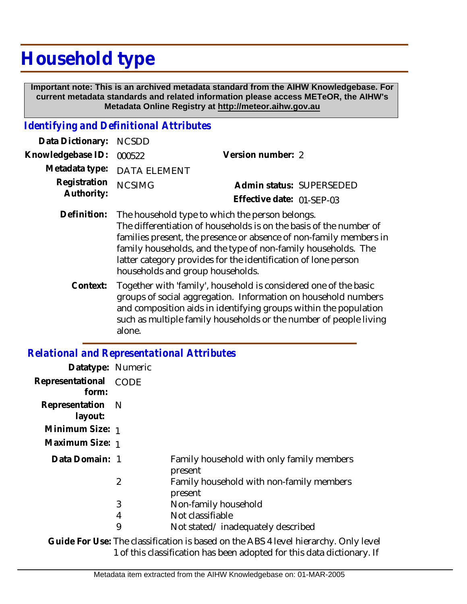# **Household type**

 **Important note: This is an archived metadata standard from the AIHW Knowledgebase. For current metadata standards and related information please access METeOR, the AIHW's Metadata Online Registry at http://meteor.aihw.gov.au**

### *Identifying and Definitional Attributes*

| Data Dictionary: NCSDD            |                             |                           |  |
|-----------------------------------|-----------------------------|---------------------------|--|
| Knowledgebase ID: 000522          |                             | Version number: 2         |  |
|                                   | Metadata type: DATA ELEMENT |                           |  |
| Registration NCSIMG<br>Authority: |                             | Admin status: SUPERSEDED  |  |
|                                   |                             | Effective date: 01-SEP-03 |  |
|                                   |                             |                           |  |

- Definition: The household type to which the person belongs. The differentiation of households is on the basis of the number of families present, the presence or absence of non-family members in family households, and the type of non-family households. The latter category provides for the identification of lone person households and group households.
	- Together with 'family', household is considered one of the basic groups of social aggregation. Information on household numbers and composition aids in identifying groups within the population such as multiple family households or the number of people living alone. **Context:**

## *Relational and Representational Attributes*

| Datatype: Numeric           |                |                                                                                |
|-----------------------------|----------------|--------------------------------------------------------------------------------|
| Representational<br>form:   | CODE           |                                                                                |
| Representation N<br>layout: |                |                                                                                |
| Minimum Size: 1             |                |                                                                                |
| Maximum Size: 1             |                |                                                                                |
| Data Domain: 1              |                | Family household with only family members<br>present                           |
|                             | $\overline{2}$ | Family household with non-family members<br>present                            |
|                             | 3              | Non-family household                                                           |
|                             | 4              | Not classifiable                                                               |
|                             | 9              | Not stated/inadequately described                                              |
|                             |                | Cuido For Use: The classification is based on the APS 4 level biorarchy Only I |

Guide For Use: The classification is based on the ABS 4 level hierarchy. Only level 1 of this classification has been adopted for this data dictionary. If